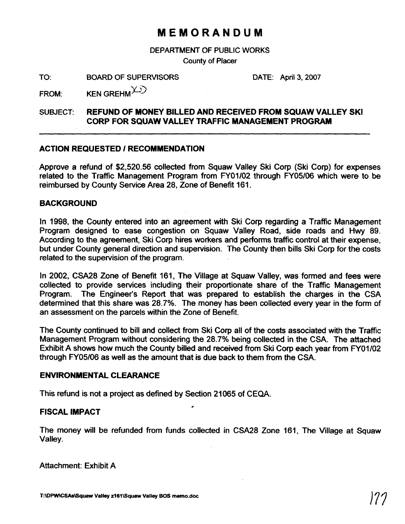# **MEMORANDUM**

DEPARTMENT OF PUBLIC WORKS

**County** of Placer

TO: BOARD OF SUPERVISORS DATE: April 3, 2007

FROM: KEN GREHM $\angle$ 

## SUBJECT: **REFUND OF MONEY BILLED AND RECEIVED FROM SQUAW VALLEY SKI CORP FOR SQUAW VALLEY TRAFFIC MANAGEMENT PROGRAM**

### **ACTION REQUESTED 1 RECOMMENDATION**

Approve a refund of \$2,520.56 collected from Squaw Valley Ski Corp (Ski Corp) for expenses related to the Traffic Management Program from FY01/02 through FY05/06 which were to be reimbursed by County Service Area 28, Zone of Benefit 161.

### **BACKGROUND**

In 1998, the County entered into an agreement with Ski Corp regarding a Traffic Management Program designed to ease congestion on Squaw Valley Road, side roads and **Hwy** 89. According to the agreement, Ski Corp hires workers and performs traffic control at their expense, but under County general direction and supervision. The County then bills Ski Corp for the costs related to the supervision of the program.

In 2002, CSA28 Zone of Benefrt 161, The Village at Squaw Valley, was formed and fees were collected to provide services including their proportionate share of the Traffic Management Program. The Engineer's Report that was prepared to establish the charges in the CSA determined that this share was 28.7%. The money has been collected every year in the form of an assessment on the parcels within the Zone of Benefit.

The County continued to bill and collect from Ski Corp all of the costs associated with the Traffic Management Program without considering the 28.7% being collected in the CSA. The attached Exhibit A shows how much the County billed and received from Ski Corp each year from FY01/02 through FY05/06 as well as the amount that is due back to them from the CSA.

### **ENVIRONMENTAL CLEARANCE**

This refund is not a project as defined by Section 21065 of CEQA.

### **FISCAL IMPACT**

The money will be refunded from funds collected in CSA28 Zone 161, The Village at Squaw Valley.

**v** 

Attachment: Exhibit A